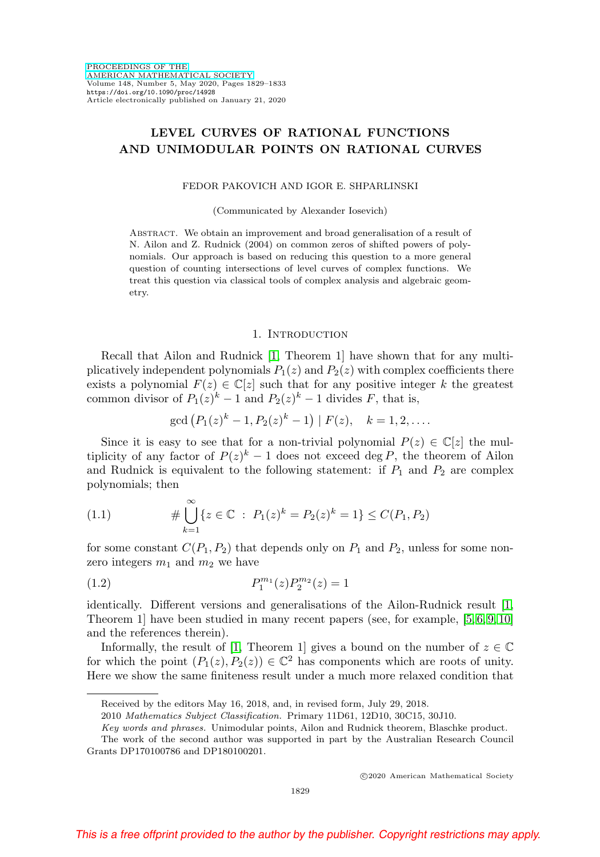# **LEVEL CURVES OF RATIONAL FUNCTIONS AND UNIMODULAR POINTS ON RATIONAL CURVES**

#### FEDOR PAKOVICH AND IGOR E. SHPARLINSKI

(Communicated by Alexander Iosevich)

Abstract. We obtain an improvement and broad generalisation of a result of N. Ailon and Z. Rudnick (2004) on common zeros of shifted powers of polynomials. Our approach is based on reducing this question to a more general question of counting intersections of level curves of complex functions. We treat this question via classical tools of complex analysis and algebraic geometry.

#### 1. INTRODUCTION

Recall that Ailon and Rudnick [\[1,](#page-3-0) Theorem 1] have shown that for any multiplicatively independent polynomials  $P_1(z)$  and  $P_2(z)$  with complex coefficients there exists a polynomial  $F(z) \in \mathbb{C}[z]$  such that for any positive integer k the greatest common divisor of  $P_1(z)^k - 1$  and  $P_2(z)^k - 1$  divides F, that is,

$$
\gcd\left(P_1(z)^k - 1, P_2(z)^k - 1\right) \mid F(z), \quad k = 1, 2, \dots
$$

Since it is easy to see that for a non-trivial polynomial  $P(z) \in \mathbb{C}[z]$  the multiplicity of any factor of  $P(z)^k - 1$  does not exceed deg P, the theorem of Ailon and Rudnick is equivalent to the following statement: if  $P_1$  and  $P_2$  are complex polynomials; then

<span id="page-0-0"></span>(1.1) 
$$
\# \bigcup_{k=1}^{\infty} \{z \in \mathbb{C} : P_1(z)^k = P_2(z)^k = 1\} \leq C(P_1, P_2)
$$

for some constant  $C(P_1, P_2)$  that depends only on  $P_1$  and  $P_2$ , unless for some nonzero integers  $m_1$  and  $m_2$  we have

<span id="page-0-1"></span>(1.2) 
$$
P_1^{m_1}(z)P_2^{m_2}(z) = 1
$$

identically. Different versions and generalisations of the Ailon-Rudnick result [\[1,](#page-3-0) Theorem 1] have been studied in many recent papers (see, for example, [\[5,](#page-3-1) [6,](#page-4-0) [9,](#page-4-1) [10\]](#page-4-2) and the references therein).

Informally, the result of [\[1,](#page-3-0) Theorem 1] gives a bound on the number of  $z \in \mathbb{C}$ for which the point  $(P_1(z), P_2(z)) \in \mathbb{C}^2$  has components which are roots of unity. Here we show the same finiteness result under a much more relaxed condition that

Received by the editors May 16, 2018, and, in revised form, July 29, 2018.

<sup>2010</sup> Mathematics Subject Classification. Primary 11D61, 12D10, 30C15, 30J10.

Key words and phrases. Unimodular points, Ailon and Rudnick theorem, Blaschke product.

The work of the second author was supported in part by the Australian Research Council Grants DP170100786 and DP180100201.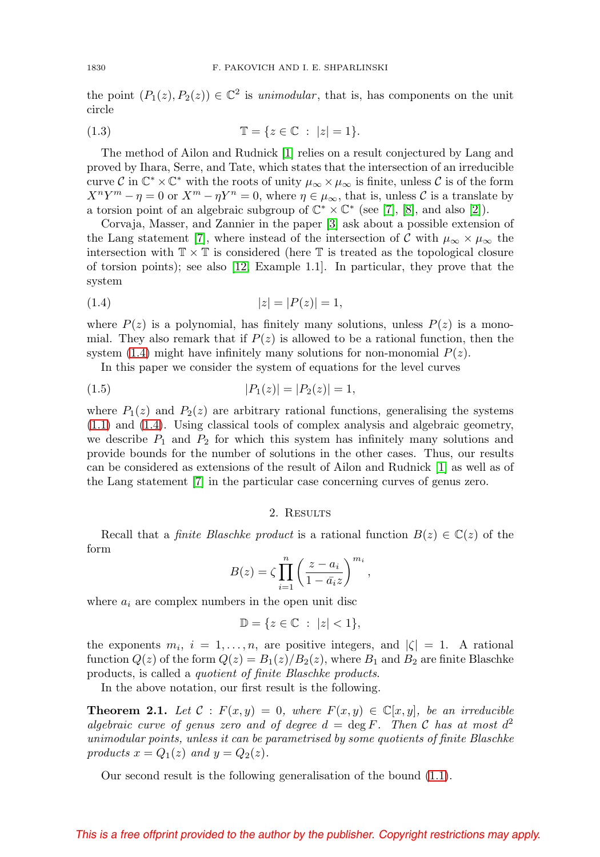the point  $(P_1(z), P_2(z)) \in \mathbb{C}^2$  is unimodular, that is, has components on the unit circle

<span id="page-1-1"></span>(1.3) 
$$
\mathbb{T} = \{ z \in \mathbb{C} : |z| = 1 \}.
$$

The method of Ailon and Rudnick [\[1\]](#page-3-0) relies on a result conjectured by Lang and proved by Ihara, Serre, and Tate, which states that the intersection of an irreducible curve C in  $\mathbb{C}^* \times \mathbb{C}^*$  with the roots of unity  $\mu_{\infty} \times \mu_{\infty}$  is finite, unless C is of the form  $X^{n}Y^{m} - \eta = 0$  or  $X^{m} - \eta Y^{n} = 0$ , where  $\eta \in \mu_{\infty}$ , that is, unless C is a translate by a torsion point of an algebraic subgroup of  $\mathbb{C}^* \times \mathbb{C}^*$  (see [\[7\]](#page-4-3), [\[8\]](#page-4-4), and also [\[2\]](#page-3-2)).

Corvaja, Masser, and Zannier in the paper [\[3\]](#page-3-3) ask about a possible extension of the Lang statement [\[7\]](#page-4-3), where instead of the intersection of C with  $\mu_{\infty} \times \mu_{\infty}$  the intersection with  $\mathbb{T} \times \mathbb{T}$  is considered (here  $\mathbb{T}$  is treated as the topological closure of torsion points); see also [\[12,](#page-4-5) Example 1.1]. In particular, they prove that the system

<span id="page-1-0"></span>
$$
(1.4) \t\t |z| = |P(z)| = 1,
$$

where  $P(z)$  is a polynomial, has finitely many solutions, unless  $P(z)$  is a monomial. They also remark that if  $P(z)$  is allowed to be a rational function, then the system [\(1.4\)](#page-1-0) might have infinitely many solutions for non-monomial  $P(z)$ .

In this paper we consider the system of equations for the level curves

$$
(1.5) \t\t\t |P_1(z)| = |P_2(z)| = 1,
$$

where  $P_1(z)$  and  $P_2(z)$  are arbitrary rational functions, generalising the systems [\(1.1\)](#page-0-0) and [\(1.4\)](#page-1-0). Using classical tools of complex analysis and algebraic geometry, we describe  $P_1$  and  $P_2$  for which this system has infinitely many solutions and provide bounds for the number of solutions in the other cases. Thus, our results can be considered as extensions of the result of Ailon and Rudnick [\[1\]](#page-3-0) as well as of the Lang statement [\[7\]](#page-4-3) in the particular case concerning curves of genus zero.

## 2. RESULTS

Recall that a *finite Blaschke product* is a rational function  $B(z) \in \mathbb{C}(z)$  of the form

$$
B(z) = \zeta \prod_{i=1}^{n} \left( \frac{z - a_i}{1 - \bar{a_i} z} \right)^{m_i},
$$

where  $a_i$  are complex numbers in the open unit disc

$$
\mathbb{D} = \{ z \in \mathbb{C} : |z| < 1 \},
$$

the exponents  $m_i$ ,  $i = 1, \ldots, n$ , are positive integers, and  $|\zeta| = 1$ . A rational function  $Q(z)$  of the form  $Q(z) = B_1(z)/B_2(z)$ , where  $B_1$  and  $B_2$  are finite Blaschke products, is called a quotient of finite Blaschke products.

In the above notation, our first result is the following.

<span id="page-1-2"></span>**Theorem 2.1.** Let  $C : F(x, y) = 0$ , where  $F(x, y) \in \mathbb{C}[x, y]$ , be an irreducible algebraic curve of genus zero and of degree  $d = \deg F$ . Then C has at most  $d^2$ unimodular points, unless it can be parametrised by some quotients of finite Blaschke products  $x = Q_1(z)$  and  $y = Q_2(z)$ .

Our second result is the following generalisation of the bound [\(1.1\)](#page-0-0).

# This is a free offprint provided to the author by the publisher. Copyright restrictions may apply.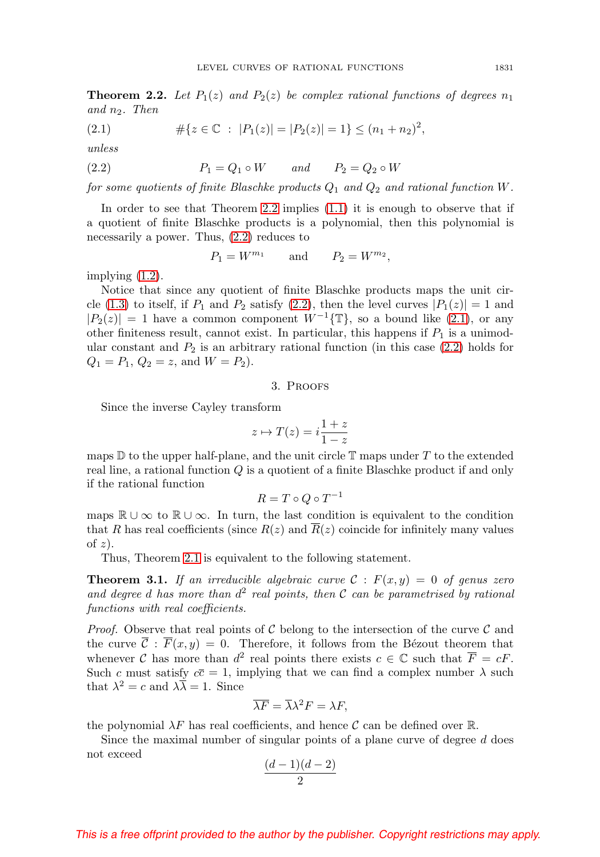<span id="page-2-0"></span>**Theorem 2.2.** Let  $P_1(z)$  and  $P_2(z)$  be complex rational functions of degrees  $n_1$ and  $n_2$ . Then

<span id="page-2-2"></span>(2.1) 
$$
\#\{z \in \mathbb{C} : |P_1(z)| = |P_2(z)| = 1\} \le (n_1 + n_2)^2,
$$

unless

<span id="page-2-1"></span>
$$
(2.2) \t\t P_1 = Q_1 \circ W \t and \t P_2 = Q_2 \circ W
$$

for some quotients of finite Blaschke products  $Q_1$  and  $Q_2$  and rational function W.

In order to see that Theorem [2.2](#page-2-0) implies [\(1.1\)](#page-0-0) it is enough to observe that if a quotient of finite Blaschke products is a polynomial, then this polynomial is necessarily a power. Thus, [\(2.2\)](#page-2-1) reduces to

$$
P_1 = W^{m_1} \qquad \text{and} \qquad P_2 = W^{m_2},
$$

implying [\(1.2\)](#page-0-1).

Notice that since any quotient of finite Blaschke products maps the unit cir-cle [\(1.3\)](#page-1-1) to itself, if  $P_1$  and  $P_2$  satisfy [\(2.2\)](#page-2-1), then the level curves  $|P_1(z)| = 1$  and  $|P_2(z)| = 1$  have a common component  $W^{-1}(\mathbb{T})$ , so a bound like [\(2.1\)](#page-2-2), or any other finiteness result, cannot exist. In particular, this happens if  $P_1$  is a unimodular constant and  $P_2$  is an arbitrary rational function (in this case  $(2.2)$  holds for  $Q_1 = P_1, Q_2 = z$ , and  $W = P_2$ ).

## 3. Proofs

Since the inverse Cayley transform

$$
z \mapsto T(z) = i \frac{1+z}{1-z}
$$

maps  $\mathbb D$  to the upper half-plane, and the unit circle  $\mathbb T$  maps under T to the extended real line, a rational function Q is a quotient of a finite Blaschke product if and only if the rational function

$$
R = T \circ Q \circ T^{-1}
$$

maps  $\mathbb{R} \cup \infty$  to  $\mathbb{R} \cup \infty$ . In turn, the last condition is equivalent to the condition that R has real coefficients (since  $R(z)$  and  $R(z)$  coincide for infinitely many values of  $z$ ).

Thus, Theorem [2.1](#page-1-2) is equivalent to the following statement.

**Theorem 3.1.** If an irreducible algebraic curve  $C : F(x, y) = 0$  of genus zero and degree d has more than  $d^2$  real points, then C can be parametrised by rational functions with real coefficients.

*Proof.* Observe that real points of  $\mathcal C$  belong to the intersection of the curve  $\mathcal C$  and the curve  $\overline{C}$ :  $\overline{F}(x, y) = 0$ . Therefore, it follows from the Bézout theorem that whenever C has more than  $d^2$  real points there exists  $c \in \mathbb{C}$  such that  $\overline{F} = cF$ . Such c must satisfy  $c\bar{c} = 1$ , implying that we can find a complex number  $\lambda$  such that  $\lambda^2 = c$  and  $\lambda \overline{\lambda} = 1$ . Since

$$
\overline{\lambda F} = \overline{\lambda} \lambda^2 F = \lambda F,
$$

the polynomial  $\lambda F$  has real coefficients, and hence C can be defined over R.

Since the maximal number of singular points of a plane curve of degree  $d$  does not exceed

$$
\frac{(d-1)(d-2)}{2}
$$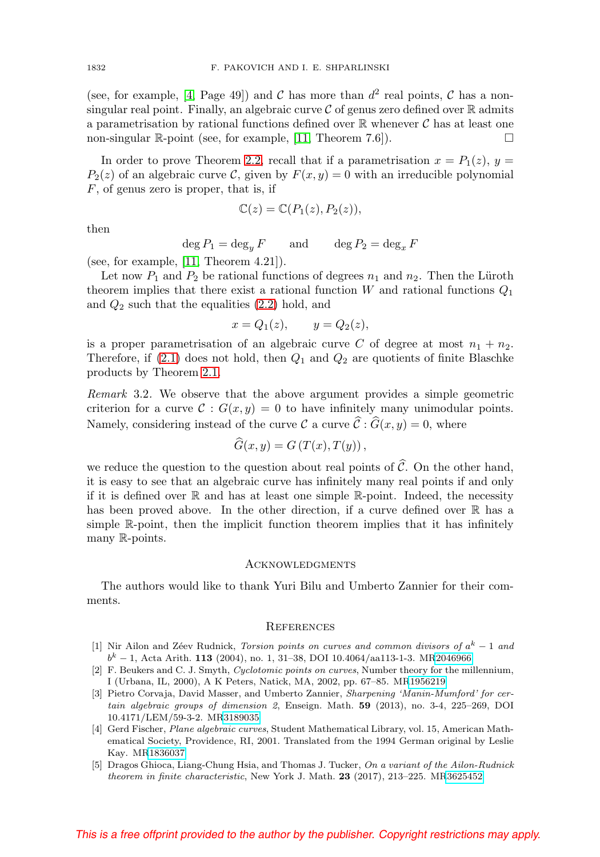(see, for example, [\[4,](#page-3-4) Page 49]) and C has more than  $d^2$  real points, C has a nonsingular real point. Finally, an algebraic curve  $\mathcal C$  of genus zero defined over  $\mathbb R$  admits a parametrisation by rational functions defined over  $\mathbb R$  whenever  $\mathcal C$  has at least one non-singular  $\mathbb{R}$ -point (see, for example, [\[11,](#page-4-6) Theorem 7.6]).  $\Box$ 

In order to prove Theorem [2.2,](#page-2-0) recall that if a parametrisation  $x = P_1(z)$ ,  $y =$  $P_2(z)$  of an algebraic curve C, given by  $F(x, y) = 0$  with an irreducible polynomial  $F$ , of genus zero is proper, that is, if

$$
\mathbb{C}(z) = \mathbb{C}(P_1(z), P_2(z)),
$$

then

 $\deg P_1 = \deg_y F$  and  $\deg P_2 = \deg_x F$ 

(see, for example, [\[11,](#page-4-6) Theorem 4.21]).

Let now  $P_1$  and  $P_2$  be rational functions of degrees  $n_1$  and  $n_2$ . Then the Lüroth theorem implies that there exist a rational function  $W$  and rational functions  $Q_1$ and  $Q_2$  such that the equalities  $(2.2)$  hold, and

$$
x = Q_1(z), \qquad y = Q_2(z),
$$

is a proper parametrisation of an algebraic curve C of degree at most  $n_1 + n_2$ . Therefore, if  $(2.1)$  does not hold, then  $Q_1$  and  $Q_2$  are quotients of finite Blaschke products by Theorem [2.1.](#page-1-2)

Remark 3.2. We observe that the above argument provides a simple geometric criterion for a curve  $\mathcal{C}: G(x, y) = 0$  to have infinitely many unimodular points. Namely, considering instead of the curve  $\mathcal{C}$  a curve  $\mathcal{C}: G(x, y) = 0$ , where

$$
G(x,y) = G\left(T(x), T(y)\right),
$$

we reduce the question to the question about real points of  $\mathcal{C}$ . On the other hand, it is easy to see that an algebraic curve has infinitely many real points if and only if it is defined over  $\mathbb R$  and has at least one simple  $\mathbb R$ -point. Indeed, the necessity has been proved above. In the other direction, if a curve defined over R has a simple R-point, then the implicit function theorem implies that it has infinitely many R-points.

## **ACKNOWLEDGMENTS**

The authors would like to thank Yuri Bilu and Umberto Zannier for their comments.

# **REFERENCES**

- <span id="page-3-0"></span>[1] Nir Ailon and Zéev Rudnick, Torsion points on curves and common divisors of  $a^k - 1$  and  $b^k - 1$ , Acta Arith. **113** (2004), no. 1, 31–38, DOI 10.4064/aa113-1-3. M[R2046966](https://www.ams.org/mathscinet-getitem?mr=2046966)
- <span id="page-3-2"></span>[2] F. Beukers and C. J. Smyth, Cyclotomic points on curves, Number theory for the millennium, I (Urbana, IL, 2000), A K Peters, Natick, MA, 2002, pp. 67–85. M[R1956219](https://www.ams.org/mathscinet-getitem?mr=1956219)
- <span id="page-3-3"></span>[3] Pietro Corvaja, David Masser, and Umberto Zannier, Sharpening 'Manin-Mumford' for certain algebraic groups of dimension 2, Enseign. Math. **59** (2013), no. 3-4, 225–269, DOI 10.4171/LEM/59-3-2. M[R3189035](https://www.ams.org/mathscinet-getitem?mr=3189035)
- <span id="page-3-4"></span>[4] Gerd Fischer, Plane algebraic curves, Student Mathematical Library, vol. 15, American Mathematical Society, Providence, RI, 2001. Translated from the 1994 German original by Leslie Kay. M[R1836037](https://www.ams.org/mathscinet-getitem?mr=1836037)
- <span id="page-3-1"></span>[5] Dragos Ghioca, Liang-Chung Hsia, and Thomas J. Tucker, On a variant of the Ailon-Rudnick theorem in finite characteristic, New York J. Math. **23** (2017), 213–225. M[R3625452](https://www.ams.org/mathscinet-getitem?mr=3625452)